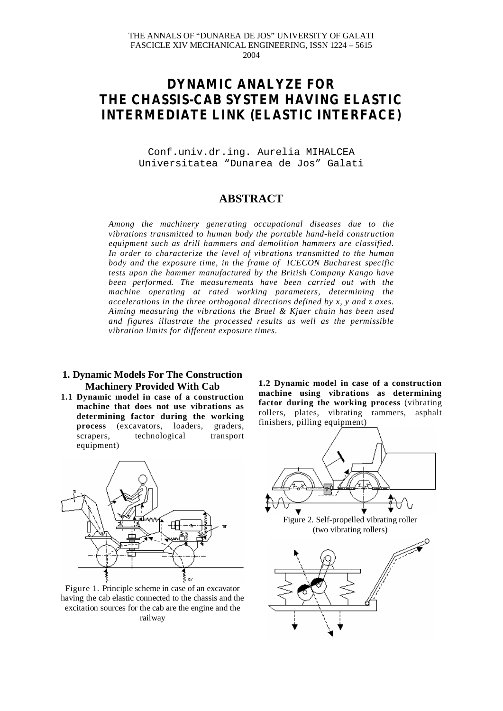# **DYNAMIC ANALYZE FOR THE CHASSIS-CAB SYSTEM HAVING ELASTIC INTERMEDIATE LINK (ELASTIC INTERFACE)**

Conf.univ.dr.ing. Aurelia MIHALCEA Universitatea "Dunarea de Jos" Galati

# **ABSTRACT**

*Among the machinery generating occupational diseases due to the vibrations transmitted to human body the portable hand-held construction equipment such as drill hammers and demolition hammers are classified. In order to characterize the level of vibrations transmitted to the human body and the exposure time, in the frame of ICECON Bucharest specific tests upon the hammer manufactured by the British Company Kango have been performed. The measurements have been carried out with the machine operating at rated working parameters, determining the accelerations in the three orthogonal directions defined by x, y and z axes. Aiming measuring the vibrations the Bruel & Kjaer chain has been used and figures illustrate the processed results as well as the permissible vibration limits for different exposure times.*

## **1. Dynamic Models For The Construction Machinery Provided With Cab**

**1.1 Dynamic model in case of a construction machine that does not use vibrations as determining factor during the working process** (excavators, loaders, graders, scrapers, technological transport equipment)



Figure 1. Principle scheme in case of an excavator having the cab elastic connected to the chassis and the excitation sources for the cab are the engine and the railway

**1.2 Dynamic model in case of a construction machine using vibrations as determining factor during the working process** (vibrating rollers, plates, vibrating rammers, asphalt finishers, pilling equipment)

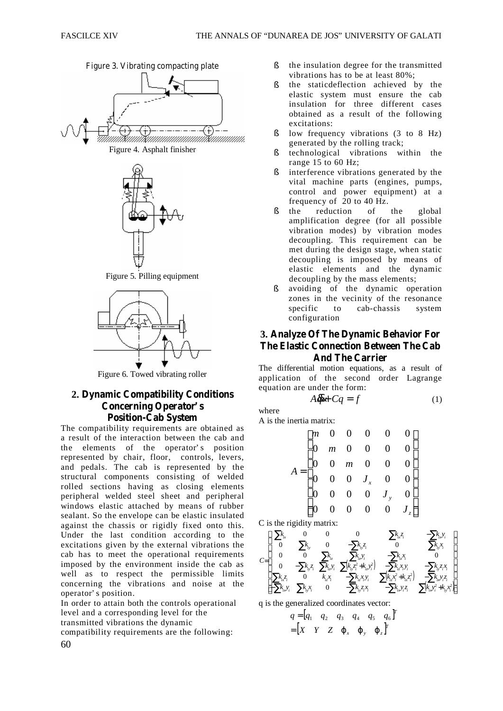







Figure 5. Pilling equipment



Figure 6. Towed vibrating roller

# **2. Dynamic Compatibility Conditions Concerning Operator' s Position-Cab System**

The compatibility requirements are obtained as a result of the interaction between the cab and the elements of the operator's position represented by chair, floor, controls, levers, and pedals. The cab is represented by the structural components consisting of welded rolled sections having as closing elements peripheral welded steel sheet and peripheral windows elastic attached by means of rubber sealant. So the envelope can be elastic insulated against the chassis or rigidly fixed onto this. Under the last condition according to the excitations given by the external vibrations the cab has to meet the operational requirements imposed by the environment inside the cab as well as to respect the permissible limits concerning the vibrations and noise at the operator' s position.

In order to attain both the controls operational level and a corresponding level for the transmitted vibrations the dynamic compatibility requirements are the following:

- § the insulation degree for the transmitted vibrations has to be at least 80%;
- § the staticdeflection achieved by the elastic system must ensure the cab insulation for three different cases obtained as a result of the following excitations:
- § low frequency vibrations (3 to 8 Hz) generated by the rolling track;
- § technological vibrations within the range  $15$  to 60 Hz;
- § interference vibrations generated by the vital machine parts (engines, pumps, control and power equipment) at a frequency of 20 to 40 Hz.
- § the reduction of the global amplification degree (for all possible vibration modes) by vibration modes decoupling. This requirement can be met during the design stage, when static decoupling is imposed by means of elastic elements and the dynamic decoupling by the mass elements;
- § avoiding of the dynamic operation zones in the vecinity of the resonance specific to cab-chassis system configuration

**3. Analyze Of The Dynamic Behavior For The Elastic Connection Between The Cab And The Carrier**

The differential motion equations, as a result of application of the second order Lagrange equation are under the form:

$$
A\overline{q} + Cq = f \tag{1}
$$

where

A is the inertia matrix:

$$
A = \begin{bmatrix} m & 0 & 0 & 0 & 0 & 0 \\ 0 & m & 0 & 0 & 0 & 0 \\ 0 & 0 & m & 0 & 0 & 0 \\ 0 & 0 & 0 & J_x & 0 & 0 \\ 0 & 0 & 0 & 0 & J_y & 0 \\ 0 & 0 & 0 & 0 & 0 & J_z \end{bmatrix}
$$

C is the rigidity matrix:



q is the generalized coordinates vector:

$$
q = [q_1 \quad q_2 \quad q_3 \quad q_4 \quad q_5 \quad q_6]'
$$
  
= 
$$
[X \quad Y \quad Z \quad \varphi_x \quad \varphi_y \quad \varphi_z]^T
$$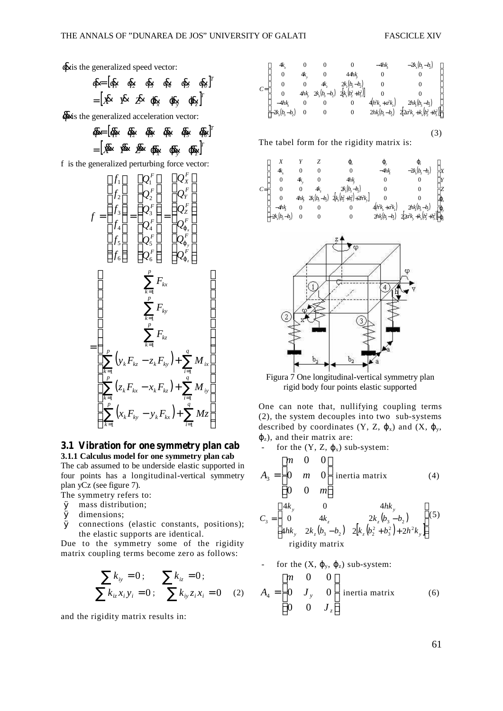(3)

## $\dot{q}$  is the generalized speed vector:

$$
\begin{aligned}\n\mathbf{d} &= [\mathbf{d}_1 \quad \mathbf{d}_2 \quad \mathbf{d}_3 \quad \mathbf{d}_4 \quad \mathbf{d}_5 \quad \mathbf{d}_6]^T \\
&= [\mathbf{X} \quad \mathbf{Y} \quad \mathbf{Z} \quad \mathbf{d}_x \quad \mathbf{d}_y \quad \mathbf{d}_z]^T\n\end{aligned}
$$

 $\vec{\theta}$  is the generalized acceleration vector:

$$
\mathbf{\vec{q}} = [\mathbf{\vec{q}}_1 \quad \mathbf{\vec{q}}_2 \quad \mathbf{\vec{q}}_3 \quad \mathbf{\vec{q}}_4 \quad \mathbf{\vec{q}}_5 \quad \mathbf{\vec{q}}_6]^T
$$

$$
= [\mathbf{\vec{X}} \quad \mathbf{\vec{Y}} \quad \mathbf{\vec{Z}} \quad \mathbf{\vec{q}}_x \quad \mathbf{\vec{q}}_y \quad \mathbf{\vec{q}}_z]^T
$$

f is the generalized perturbing force vector:

$$
f = \begin{bmatrix} f_1 \\ f_2 \\ f_3 \\ f_4 \\ f_5 \\ f_6 \end{bmatrix} = \begin{bmatrix} Q_1^F \\ Q_2^F \\ Q_3^F \\ Q_4^F \\ Q_5^F \\ Q_6^F \end{bmatrix} = \begin{bmatrix} Q_1^F \\ Q_1^F \\ Q_2^F \\ Q_4^F \\ Q_5^F \\ Q_6^F \end{bmatrix}
$$

$$
= \begin{bmatrix} \sum_{k=1}^p F_{kx} \\ \sum_{k=1}^p F_{kx} \\ \sum_{k=1}^p F_{kx} \\ \sum_{k=1}^p F_{kx} \\ \sum_{k=1}^p F_{kx} \\ \sum_{k=1}^p F_{kx} \\ \sum_{k=1}^p F_{kx} \\ \sum_{k=1}^p (x_k F_{kx} - x_k F_{kx}) + \sum_{i=1}^q M_{i} \\ \sum_{k=1}^p (x_k F_{kx} - y_k F_{kx}) + \sum_{i=1}^q M_{i} \\ \sum_{k=1}^p (x_k F_{ky} - y_k F_{kx}) + \sum_{i=1}^q M_{i} \\ \sum_{i=1}^q M_{i} \\ \sum_{i=1}^q M_{i} \\ \sum_{i=1}^q M_{i} \\ \sum_{i=1}^q M_{i} \\ \sum_{i=1}^q M_{i} \\ \sum_{i=1}^q M_{i} \\ \sum_{i=1}^q M_{i} \\ \sum_{i=1}^q M_{i} \\ \sum_{i=1}^q M_{i} \\ \sum_{i=1}^q M_{i} \\ \sum_{i=1}^q M_{i} \\ \sum_{i=1}^q M_{i} \\ \sum_{i=1}^q M_{i} \\ \sum_{i=1}^q M_{i} \\ \sum_{i=1}^q M_{i} \\ \sum_{i=1}^q M_{i} \\ \sum_{i=1}^q M_{i} \\ \sum_{i=1}^q M_{i} \\ \sum_{i=1}^q M_{i} \\ \sum_{i=1}^q M_{i} \\ \sum_{i=1}^q M_{i} \\ \sum_{i=1}^q M_{i} \\ \sum_{i=1}^q M_{i} \\ \sum_{i=1}^q M_{i} \\ \sum_{i=1}^q M_{i} \\ \sum_{i=1}^q M_{i} \\ \sum_{i=1}^q M_{i} \\ \sum_{i=1}^q
$$

# **3.1 Vibration for one symmetry plan cab**

**3.1.1 Calculus model for one symmetry plan cab** The cab assumed to be underside elastic supported in four points has a longitudinal-vertical symmetry plan yCz (see figure 7).

The symmetry refers to:

- Ø mass distribution;
- Ø dimensions;
- Ø connections (elastic constants, positions); the elastic supports are identical.

Due to the symmetry some of the rigidity matrix coupling terms become zero as follows:

$$
\sum k_{iy} = 0; \qquad \sum k_{iz} = 0; \sum k_{iz} x_i y_i = 0; \qquad \sum k_{iy} z_i x_i = 0
$$
 (2)

and the rigidity matrix results in:

|       | 4k               |    |     |                                               | $-4hk$               | $-2k_x(b_3-b_2)$                              |
|-------|------------------|----|-----|-----------------------------------------------|----------------------|-----------------------------------------------|
|       | 0                | 4k | 0   | 44hk                                          | U                    |                                               |
| $C =$ | 0                |    | 4k. | $2k_z(b_3-b_2)$                               |                      |                                               |
|       |                  |    |     | $4hk$ , $2k_z(b_3-b_2)$ $2[k_z(b_2^2+b_3^2)]$ |                      |                                               |
|       | $-4hk$           |    |     |                                               | $4(h^2k_x + a^2k_z)$ | $2h \xi (b_3 - b_2)$                          |
|       | $-2k_z(b_3-b_2)$ | 0  |     | 0                                             |                      | $2h\{b_3-b_2\}$ $2[2a^2k_y+k_x(b_2^2+b_3^2)]$ |

The tabel form for the rigidity matrix is:

|       |                  |        |                 | φ,                                | Ф.                 |                                                  |     |
|-------|------------------|--------|-----------------|-----------------------------------|--------------------|--------------------------------------------------|-----|
|       | 4k               |        |                 | 0                                 | $-4hk$             | $-2k(b,-b)$                                      |     |
|       | 0                | 4k     | 0               | 4hk                               |                    |                                                  |     |
| $C =$ |                  | 0      |                 | $2k_5(b_3-b_3)$                   | 0                  |                                                  |     |
|       | $\mathbf{0}$     | $4h$ k | $2k_z(b_3-b_2)$ | $2[k_1(k_2^2 + k_3^2) + 2h^2k_1]$ |                    |                                                  | kр, |
|       | $-4hk$           | 0      | 0               |                                   | $4(h^2k_x + ak_z)$ | $2h\frac{k}{2}(b_3-b_2)$                         | kρ, |
|       | $-2k_x(b_3-b_2)$ |        | 0               | 0                                 |                    | $2h\{b_3-b_2\}$ $2\{2a^2k, +k_3(b_2^2+b_3^2)\}\$ |     |



Figura 7 One longitudinal-vertical symmetry plan rigid body four points elastic supported

One can note that, nullifying coupling terms (2), the system decouples into two sub-systems described by coordinates  $(Y, Z, \varphi_x)$  and  $(X, \varphi_y, \varphi_y)$  $\varphi$ <sub>z</sub>), and their matrix are:

- for the  $(Y, Z, \varphi_x)$  sub-system:

$$
A_{3} = \begin{bmatrix} m & 0 & 0 \\ 0 & m & 0 \\ 0 & 0 & m \end{bmatrix}
$$
 inertia matrix (4)  

$$
C_{3} = \begin{bmatrix} 4k_{y} & 0 & 4hk_{y} \\ 0 & 4k_{z} & 2k_{z}(b_{3} - b_{2}) \\ 4hk_{y} & 2k_{z}(b_{3} - b_{2}) & 2[k_{z}(b_{2}^{2} + b_{3}^{2}) + 2h^{2}k_{y}] \end{bmatrix}
$$
(5)  
rigidity matrix

For the 
$$
(X, \varphi_y, \varphi_z)
$$
 sub-system:  
\n
$$
A_4 = \begin{bmatrix} m & 0 & 0 \\ 0 & J_y & 0 \\ 0 & 0 & J_z \end{bmatrix}
$$
 inertia matrix (6)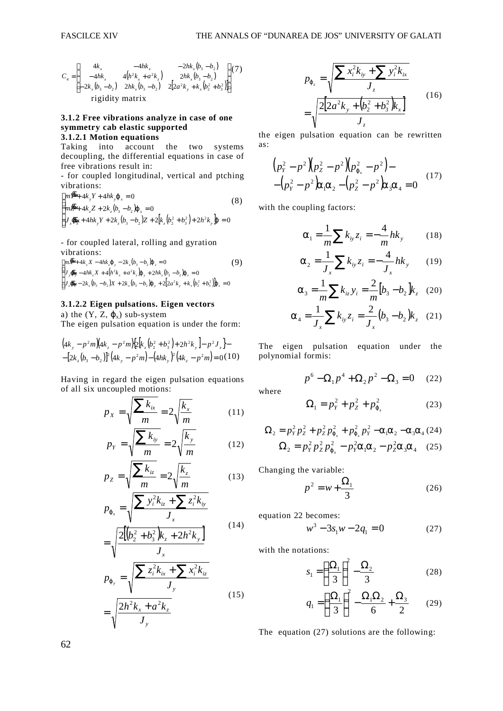$$
C_4 = \begin{bmatrix} 4k_x & -4hk_x & -2hk_x(b_3 - b_2) \\ -4hk_x & 4(h^2k_x + a^2k_z) & 2hk_x(b_3 - b_2) \\ -2k_x(b_3 - b_2) & 2hk_x(b_3 - b_2) & 2[2a^2k_y + k_x(b_2^2 + b_3^2)] \end{bmatrix} (7)
$$
  
rigidity matrix

#### **3.1.2 Free vibrations analyze in case of one symmetry cab elastic supported 3.1.2.1 Motion equations**

Taking into account the two systems decoupling, the differential equations in case of free vibrations result in:

- for coupled longitudinal, vertical and ptching vibrations:

$$
\begin{cases}\nm\vec{F} + 4k_y Y + 4hk_y \varphi_x = 0 & (8) \\
m\vec{E} + 4k_z Z + 2k_z (b_3 - b_2) \varphi_x = 0 & (8) \\
J_x \vec{\Phi}_x + 4hk_y Y + 2k_z (b_3 - b_2) Z + 2[k_z (b_2^2 + b_3^2) + 2h^2 k_y] \varphi = 0\n\end{cases}
$$

- for coupled lateral, rolling and gyration vibrations:

$$
\begin{cases} m\vec{\mathbf{X}} + 4k_x X - 4hk_x \mathbf{p}_y - 2k_x (b_3 - b_2) \mathbf{p}_z = 0 & (9) \\ J_y \vec{\mathbf{p}}_y - 4hk_x X + 4(h^2 k_x + a^2 k_z) \mathbf{p}_y + 2hk_x (b_3 - b_2) \mathbf{p}_z = 0 \\ J_z \vec{\mathbf{p}}_z - 2k_x (b_3 - b_2) X + 2k_x (b_3 - b_2) \mathbf{p}_y + 2[2a^2 k_y + k_x (b_2^2 + b_3^2)] \mathbf{p}_z = 0 \end{cases}
$$

### **3.1.2.2 Eigen pulsations. Eigen vectors**

a) the  $(Y, Z, \varphi_x)$  sub-system

The eigen pulsation equation is under the form:

$$
\begin{aligned} &\left(4k_y - p^2m\right)\left(4k_z - p^2m\right)\left[2\left[k_z\left(b_2^2 + b_3^2\right) + 2h^2k_y\right] - p^2J_x\right] - \\ &- \left[2k_z\left(b_3 - b_2\right)\right]^2\left(4k_y - p^2m\right) - \left(4hk_y\right)^2\left(4k_z - p^2m\right) = 0 \,(10) \end{aligned}
$$

Having in regard the eigen pulsation equations of all six uncoupled motions:

$$
p_x = \sqrt{\frac{\sum k_{ix}}{m}} = 2\sqrt{\frac{k_x}{m}} \tag{11}
$$

$$
p_Y = \sqrt{\frac{\sum k_{iy}}{m}} = 2\sqrt{\frac{k_y}{m}} \tag{12}
$$

$$
p_Z = \sqrt{\frac{\sum k_{iz}}{m}} = 2\sqrt{\frac{k_z}{m}}\tag{13}
$$

$$
p_{\varphi_x} = \sqrt{\frac{\sum y_i^2 k_{iz} + \sum z_i^2 k_{iy}}{J_x}}
$$
(14)

$$
= \sqrt{\frac{2[(b_2^2 + b_3^2)k_z + 2h^2k_y]}{J_x}}
$$
  
\n
$$
p_{\varphi_y} = \sqrt{\frac{\sum z_i^2k_{ix} + \sum x_i^2k_{iz}}{J_y}}
$$
  
\n
$$
\sqrt{2h^2k + a^2k}
$$
 (15)

$$
\sqrt{\frac{y}{y}} = \sqrt{\frac{2h^2k_x + a^2k_z}{J_y}}
$$
(15)

$$
p_{\varphi_z} = \sqrt{\frac{\sum x_i^2 k_{iy} + \sum y_i^2 k_{ix}}{J_z}}
$$
  
= 
$$
\sqrt{\frac{2[2a^2 k_y + (b_2^2 + b_3^2)k_x]}{J_z}}
$$
 (16)

the eigen pulsation equation can be rewritten as:

$$
\begin{array}{l}\n\left(p_{Y}^{2}-p^{2}\right)\left(p_{Z}^{2}-p^{2}\right)\left(p_{\varphi_{x}}^{2}-p^{2}\right)-\\
-\left(p_{Y}^{2}-p^{2}\right)\left(p_{X}\alpha_{2}-\left(p_{Z}^{2}-p^{2}\right)\left(p_{X}\alpha_{4}=0\right)\right)\n\end{array} (17)
$$

with the coupling factors:

$$
\alpha_1 = \frac{1}{m} \sum k_{iy} z_i = -\frac{4}{m} h k_y \qquad (18)
$$

$$
\alpha_2 = \frac{1}{J_x} \sum k_{iy} z_i = -\frac{4}{J_x} h k_y \qquad (19)
$$

$$
\alpha_3 = \frac{1}{m} \sum k_{iz} y_i = \frac{2}{m} [b_3 - b_2] k_z \quad (20)
$$

$$
\alpha_4 = \frac{1}{J_x} \sum k_{iy} z_i = \frac{2}{J_x} (b_3 - b_2) k_z \quad (21)
$$

The eigen pulsation equation under the polynomial formis:

$$
p^{6} - \Omega_{1}p^{4} + \Omega_{2}p^{2} - \Omega_{3} = 0 \quad (22)
$$

where

$$
\Omega_1 = p_Y^2 + p_Z^2 + p_{\varphi_x}^2 \tag{23}
$$

$$
\Omega_2 = p_Y^2 p_Z^2 + p_Z^2 p_{\varphi_x}^2 + p_{\varphi_x}^2 p_Y^2 - \alpha_1 \alpha_2 - \alpha_3 \alpha_4 (24)
$$
  

$$
\Omega_2 = p_Y^2 p_Z^2 p_{\varphi_x}^2 - p_Y^2 \alpha_1 \alpha_2 - p_Z^2 \alpha_3 \alpha_4 \quad (25)
$$

Changing the variable:

$$
p^2 = w + \frac{\Omega_1}{3} \tag{26}
$$

equation 22 becomes:

$$
w^3 - 3s_1 w - 2q_1 = 0 \tag{27}
$$

with the notations:

$$
S_1 = \left(\frac{\Omega_1}{3}\right)^2 - \frac{\Omega_2}{3} \tag{28}
$$

$$
q_1 = \left(\frac{\Omega_1}{3}\right)^2 - \frac{\Omega_1 \Omega_2}{6} + \frac{\Omega_3}{2} \qquad (29)
$$

The equation (27) solutions are the following: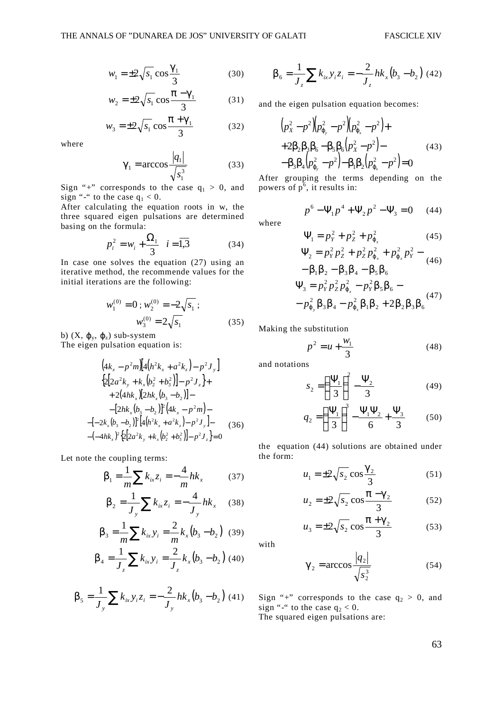$$
w_1 = \pm 2\sqrt{s_1} \cos \frac{\gamma_1}{3} \tag{30}
$$

$$
w_2 = \pm 2\sqrt{s_1} \cos \frac{\pi - \gamma_1}{3} \tag{31}
$$

$$
w_3 = \pm 2\sqrt{s_1} \cos \frac{\pi + \gamma_1}{3} \tag{32}
$$

where

$$
\gamma_1 = \arccos \frac{|q_1|}{\sqrt{s_1^3}}\tag{33}
$$

Sign "+" corresponds to the case  $q_1 > 0$ , and sign "-" to the case  $q_1 < 0$ .

After calculating the equation roots in w, the three squared eigen pulsations are determined basing on the formula:

$$
p_i^2 = w_i + \frac{\Omega_1}{3} \quad i = \overline{1,3}
$$
 (34)

In case one solves the equation (27) using an iterative method, the recommende values for the initial iterations are the following:

$$
w_1^{(0)} = 0; w_2^{(0)} = -2\sqrt{s_1};
$$
  

$$
w_3^{(0)} = 2\sqrt{s_1}
$$
 (35)

b)  $(X, \varphi_y, \varphi_z)$  sub-system

The eigen pulsation equation is:

$$
(4k_x - p^2m)[4(h^2k_x + a^2k_z) - p^2J_y]
$$
  
\n
$$
{2[2a^2k_y + k_x(b_2^2 + b_3^2)] - p^2J_z} +
$$
  
\n
$$
+ 2(4hk_x)[2hk_x(b_3 - b_2)] -
$$
  
\n
$$
-[2hk_x(b_3 - b_2)]^2(4k_x - p^2m) -
$$
  
\n
$$
[-2k_x(b_3 - b_2)]^2[4(h^2k_x + a^2k_z) - p^2J_y] -
$$
  
\n
$$
-(-4hk_x)^2{2[2a^2k_y + k_x(b_2^2 + b_3^2)] - p^2J_z} = 0
$$
 (36)

Let note the coupling terms:

$$
\beta_1 = \frac{1}{m} \sum k_{ix} z_i = -\frac{4}{m} h k_x \tag{37}
$$

$$
\beta_2 = \frac{1}{J_y} \sum k_{ix} z_i = -\frac{4}{J_y} h k_x \quad (38)
$$

$$
\beta_3 = \frac{1}{m} \sum k_{ix} y_i = \frac{2}{m} k_x (b_3 - b_2) \quad (39)
$$

$$
\beta_4 = \frac{1}{J_z} \sum k_{ix} y_i = \frac{2}{J_z} k_x (b_3 - b_2) \tag{40}
$$

$$
\beta_5 = \frac{1}{J_y} \sum k_{ix} y_i z_i = -\frac{2}{J_y} h k_x (b_3 - b_2) \tag{41}
$$

$$
\beta_6 = \frac{1}{J_z} \sum k_{ix} y_i z_i = -\frac{2}{J_z} h k_x (b_3 - b_2) \tag{42}
$$

and the eigen pulsation equation becomes:

$$
(p_x^2 - p^2)(p_{\varphi_y}^2 - p^2)(p_{\varphi_x}^2 - p^2) +
$$
  
+2\beta\_2\beta\_3\beta\_6 - \beta\_5\beta\_6(p\_x^2 - p^2) -  
- \beta\_3\beta\_4(p\_{\varphi\_y}^2 - p^2) - \beta\_1\beta\_2(p\_{\varphi\_x}^2 - p^2) = 0 (43)

After grouping the terms depending on the powers of  $p^6$ , it results in:

$$
p^{6} - \Psi_{1} p^{4} + \Psi_{2} p^{2} - \Psi_{3} = 0 \quad (44)
$$

where

$$
\Psi_1 = p_Y^2 + p_Z^2 + p_{\varphi_x}^2 \tag{45}
$$

$$
\Psi_2 = p_Y^2 p_Z^2 + p_Z^2 p_{\varphi_x}^2 + p_{\varphi_x}^2 p_Y^2 -
$$
  
\n
$$
- \beta_1 \beta_2 - \beta_3 \beta_4 - \beta_5 \beta_6
$$
  
\n
$$
\Psi_3 = p_Y^2 p_Z^2 p_{\varphi_x}^2 - p_Y^2 \beta_5 \beta_6 -
$$
  
\n
$$
- p_{\varphi_y}^2 \beta_3 \beta_4 - p_{\varphi_z}^2 \beta_1 \beta_2 + 2 \beta_2 \beta_3 \beta_6
$$
\n(47)

Making the substitution

$$
p^2 = u + \frac{w_1}{3}
$$
 (48)

and notations

$$
s_2 = \left(\frac{\Psi_1}{3}\right)^2 - \frac{\Psi_2}{3} \tag{49}
$$

$$
q_2 = \left(\frac{\Psi_1}{3}\right)^3 - \frac{\Psi_1 \Psi_2}{6} + \frac{\Psi_3}{3} \tag{50}
$$

the equation (44) solutions are obtained under the form:

$$
u_1 = \pm 2\sqrt{s_2} \cos \frac{\gamma_2}{3} \tag{51}
$$

$$
u_2 = \pm 2\sqrt{s_2} \cos \frac{\pi - \gamma_2}{3} \tag{52}
$$

$$
u_3 = \pm 2\sqrt{s_2} \cos \frac{\pi + \gamma_2}{3} \tag{53}
$$

with

$$
\gamma_2 = \arccos \frac{|q_2|}{\sqrt{s_2^3}}\tag{54}
$$

Sign "+" corresponds to the case  $q_2 > 0$ , and sign "-" to the case  $q_2 < 0$ .

The squared eigen pulsations are: